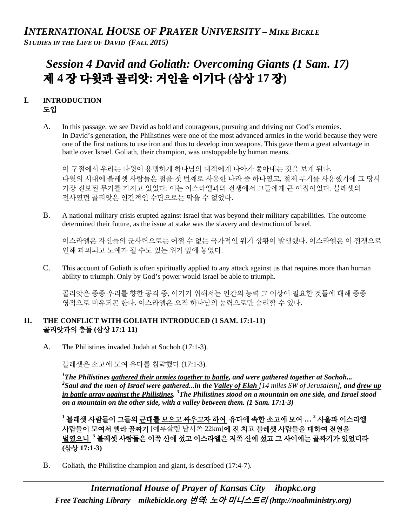# *Session 4 David and Goliath: Overcoming Giants (1 Sam. 17)*  제 **4** 장 다윗과 골리앗**:** 거인을 이기다 **(**삼상 **17** 장**)**

#### **I. INTRODUCTION**  도입

A. In this passage, we see David as bold and courageous, pursuing and driving out God's enemies. In David's generation, the Philistines were one of the most advanced armies in the world because they were one of the first nations to use iron and thus to develop iron weapons. This gave them a great advantage in battle over Israel. Goliath, their champion, was unstoppable by human means.

이 구절에서 우리는 다윗이 용맹하게 하나님의 대적에게 나아가 쫓아내는 것을 보게 된다. 다윗의 시대에 블레셋 사람들은 철을 첫 번째로 사용한 나라 중 하나였고, 철제 무기를 사용했기에 그 당시 가장 진보된 무기를 가지고 있었다. 이는 이스라엘과의 전쟁에서 그들에게 큰 이점이었다. 블레셋의 전사였던 골리앗은 인간적인 수단으로는 막을 수 없었다.

B. A national military crisis erupted against Israel that was beyond their military capabilities. The outcome determined their future, as the issue at stake was the slavery and destruction of Israel.

이스라엘은 자신들의 군사력으로는 어쩔 수 없는 국가적인 위기 상황이 발생했다. 이스라엘은 이 전쟁으로 인해 파괴되고 노예가 될 수도 있는 위기 앞에 놓였다.

C. This account of Goliath is often spiritually applied to any attack against us that requires more than human ability to triumph. Only by God's power would Israel be able to triumph.

골리앗은 종종 우리를 향한 공격 중, 이기기 위해서는 인간의 능력 그 이상이 필요한 것들에 대해 종종 영적으로 비유되곤 한다. 이스라엘은 오직 하나님의 능력으로만 승리할 수 있다.

#### **II. THE CONFLICT WITH GOLIATH INTRODUCED (1 SAM. 17:1-11)** 골리앗과의 충돌 **(**삼상 **17:1-11)**

A. The Philistines invaded Judah at Sochoh (17:1-3).

블레셋은 소고에 모여 유다를 침략했다 (17:1-3).

*1 The Philistines gathered their armies together to battle, and were gathered together at Sochoh... 2 Saul and the men of Israel were gathered...in the Valley of Elah [14 miles SW of Jerusalem], and drew up in battle array against the Philistines. <sup>3</sup> The Philistines stood on a mountain on one side, and Israel stood on a mountain on the other side, with a valley between them. (1 Sam. 17:1-3)* 

**<sup>1</sup>** 블레셋 사람들이 그들의 군대를 모으고 싸우고자 하여 유다에 속한 소고에 모여 **… <sup>2</sup>** 사울과 이스라엘 사람들이 모여서 엘라 골짜기 [예루살렘 남서쪽 22km]에 진 치고 블레셋 사람들을 대하여 전열을 벌였으니 **<sup>3</sup>** 블레셋 사람들은 이쪽 산에 섰고 이스라엘은 저쪽 산에 섰고 그 사이에는 골짜기가 있었더라 **(**삼상 **17:1-3)**

B. Goliath, the Philistine champion and giant, is described (17:4-7).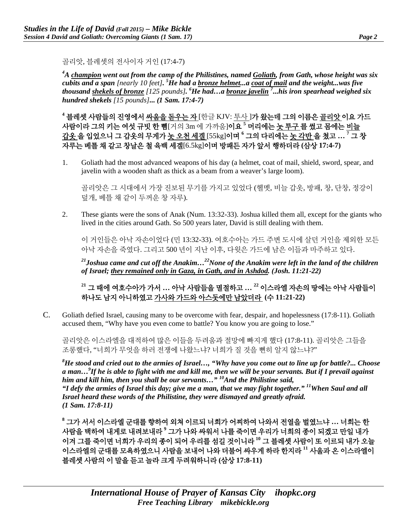골리앗, 블레셋의 전사이자 거인 (17:4-7)

*4 A champion went out from the camp of the Philistines, named Goliath, from Gath, whose height was six cubits and a span [nearly 10 feet]. 5 He had a bronze helmet...a coat of mail and the weight...was five thousand shekels of bronze [125 pounds]. 6 He had…a bronze javelin <sup>7</sup> ...his iron spearhead weighed six hundred shekels [15 pounds]***...** *(1 Sam. 17:4-7)* 

**<sup>4</sup>** 블레셋 사람들의 진영에서 싸움을 돋우는 자 [한글 KJV: 투사 ]가 왔는데 그의 이름은 골리앗 이요 가드 사람이라 그의 키는 여섯 규빗 한 뼘[거의 3m 에 가까움]이요 **<sup>5</sup>** 머리에는 놋 투구 를 썼고 몸에는 비늘 갑옷 을 입었으니 그 갑옷의 무게가 놋 오천 세겔 [55kg]이며 **<sup>6</sup>** 그의 다리에는 놋 각반 을 쳤고 **… <sup>7</sup>** 그 창 자루는 베틀 채 같고 창날은 철 육백 세겔[6.5kg]이며 방패든 자가 앞서 행하더라 **(**삼상 **17:4-7)**

1. Goliath had the most advanced weapons of his day (a helmet, coat of mail, shield, sword, spear, and javelin with a wooden shaft as thick as a beam from a weaver's large loom).

골리앗은 그 시대에서 가장 진보된 무기를 가지고 있었다 (헬멧, 비늘 갑옷, 방패, 창, 단창, 정강이 덮개, 베틀 채 같이 두꺼운 창 자루).

2. These giants were the sons of Anak (Num. 13:32-33). Joshua killed them all, except for the giants who lived in the cities around Gath. So 500 years later, David is still dealing with them.

이 거인들은 아낙 자손이었다 (민 13:32-33). 여호수아는 가드 주변 도시에 살던 거인을 제외한 모든 아낙 자손을 죽였다. 그리고 500 년이 지난 이후, 다윗은 가드에 남은 이들과 마주하고 있다.

*21Joshua came and cut off the Anakim…22None of the Anakim were left in the land of the children of Israel; they remained only in Gaza, in Gath, and in Ashdod. (Josh. 11:21-22)* 

**<sup>21</sup>** 그 때에 여호수아가 가서 **…** 아낙 사람들을 멸절하고 **… <sup>22</sup>** 이스라엘 자손의 땅에는 아낙 사람들이 하나도 남지 아니하였고 가사와 가드와 아스돗에만 남았더라 **(**수 **11:21-22)**

C. Goliath defied Israel, causing many to be overcome with fear, despair, and hopelessness (17:8-11). Goliath accused them, "Why have you even come to battle? You know you are going to lose."

골리앗은 이스라엘을 대적하여 많은 이들을 두려움과 절망에 빠지게 했다 (17:8-11). 골리앗은 그들을 조롱했다, "너희가 무엇을 하러 전쟁에 나왔느냐? 너희가 질 것을 뻔히 알지 않느냐?"

*8 He stood and cried out to the armies of Israel…, "Why have you come out to line up for battle?... Choose a man…9 If he is able to fight with me and kill me, then we will be your servants. But if I prevail against him and kill him, then you shall be our servants…" 10And the Philistine said, "I defy the armies of Israel this day; give me a man, that we may fight together." 11When Saul and all Israel heard these words of the Philistine, they were dismayed and greatly afraid. (1 Sam. 17:8-11)*

**<sup>8</sup>** 그가 서서 이스라엘 군대를 향하여 외쳐 이르되 너희가 어찌하여 나와서 전열을 벌였느냐 **…** 너희는 한 사람을 택하여 내게로 내려보내라 **<sup>9</sup>** 그가 나와 싸워서 나를 죽이면 우리가 너희의 종이 되겠고 만일 내가 이겨 그를 죽이면 너희가 우리의 종이 되어 우리를 섬길 것이니라 **<sup>10</sup>** 그 블레셋 사람이 또 이르되 내가 오늘 이스라엘의 군대를 모욕하였으니 사람을 보내어 나와 더불어 싸우게 하라 한지라 **<sup>11</sup>** 사울과 온 이스라엘이 블레셋 사람의 이 말을 듣고 놀라 크게 두려워하니라 **(**삼상 **17:8-11)**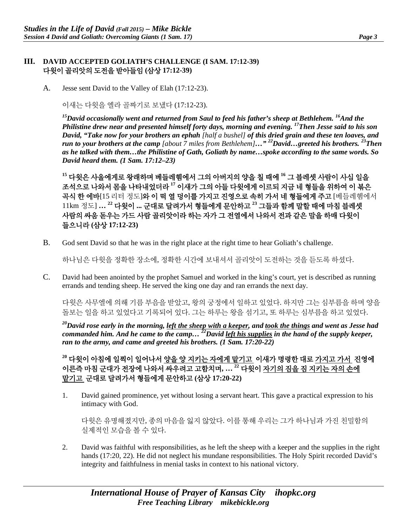#### **III. DAVID ACCEPTED GOLIATH'S CHALLENGE (I SAM. 17:12-39)** 다윗이 골리앗의 도전을 받아들임 **(**삼상 **17:12-39)**

A. Jesse sent David to the Valley of Elah (17:12-23).

이새는 다윗을 엘라 골짜기로 보냈다 (17:12-23).

<sup>15</sup>David occasionally went and returned from Saul to feed his father's sheep at Bethlehem. <sup>16</sup>And the *Philistine drew near and presented himself forty days, morning and evening. 17Then Jesse said to his son David, "Take now for your brothers an ephah [half a bushel] of this dried grain and these ten loaves, and run to your brothers at the camp [about 7 miles from Bethlehem]…" 22David…greeted his brothers. 23Then as he talked with them…the Philistine of Gath, Goliath by name…spoke according to the same words. So David heard them. (1 Sam. 17:12–23)*

**<sup>15</sup>** 다윗은 사울에게로 왕래하며 베들레헴에서 그의 아버지의 양을 칠 때에 **<sup>16</sup>** 그 블레셋 사람이 사십 일을 조석으로 나와서 몸을 나타내었더라 **<sup>17</sup>** 이새가 그의 아들 다윗에게 이르되 지금 네 형들을 위하여 이 볶은 곡식 한 에바[15 리터 정도]와 이 떡 열 덩이를 가지고 진영으로 속히 가서 네 형들에게 주고 [베들레헴에서 11km 정도] **… <sup>22</sup>** 다윗이 **...** 군대로 달려가서 형들에게 문안하고 **<sup>23</sup>** 그들과 함께 말할 때에 마침 블레셋 사람의 싸움 돋우는 가드 사람 골리앗이라 하는 자가 그 전열에서 나와서 전과 같은 말을 하매 다윗이 들으니라 **(**삼상 **17:12-23)**

B. God sent David so that he was in the right place at the right time to hear Goliath's challenge.

하나님은 다윗을 정확한 장소에, 정확한 시간에 보내셔서 골리앗이 도전하는 것을 듣도록 하셨다.

C. David had been anointed by the prophet Samuel and worked in the king's court, yet is described as running errands and tending sheep. He served the king one day and ran errands the next day.

다윗은 사무엘에 의해 기름 부음을 받았고, 왕의 궁정에서 일하고 있었다. 하지만 그는 심부름을 하며 양을 돌보는 일을 하고 있었다고 기록되어 있다. 그는 하루는 왕을 섬기고, 또 하루는 심부름을 하고 있었다.

*20David rose early in the morning, left the sheep with a keeper, and took the things and went as Jesse had commanded him. And he came to the camp… 22David left his supplies in the hand of the supply keeper, ran to the army, and came and greeted his brothers. (1 Sam. 17:20-22)*

**<sup>20</sup>** 다윗이 아침에 일찍이 일어나서 양을 양 지키는 자에게 맡기고 이새가 명령한 대로 가지고 가서 진영에 이른즉 마침 군대가 전장에 나와서 싸우려고 고함치며**, … <sup>22</sup>** 다윗이 자기의 짐을 짐 지키는 자의 손에 맡기고 군대로 달려가서 형들에게 문안하고 **(**삼상 **17:20-22)**

1. David gained prominence, yet without losing a servant heart. This gave a practical expression to his intimacy with God.

다윗은 유명해졌지만, 종의 마음을 잃지 않았다. 이를 통해 우리는 그가 하나님과 가진 친밀함의 실제적인 모습을 볼 수 있다.

2. David was faithful with responsibilities, as he left the sheep with a keeper and the supplies in the right hands (17:20, 22). He did not neglect his mundane responsibilities. The Holy Spirit recorded David's integrity and faithfulness in menial tasks in context to his national victory.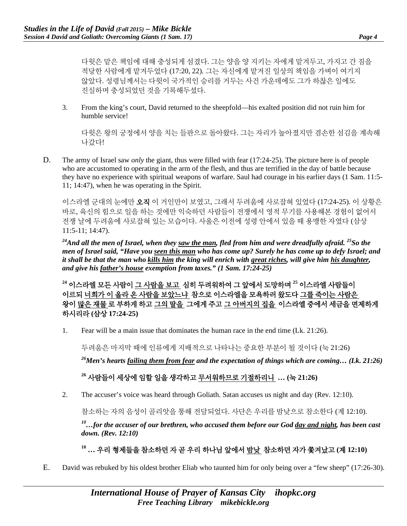다윗은 맡은 책임에 대해 충성되게 섬겼다. 그는 양을 양 지키는 자에게 맡겨두고, 가지고 간 짐을 적당한 사람에게 맡겨두었다 (17:20, 22). 그는 자신에게 맡겨진 일상의 책임을 가벼이 여기지 않았다. 성령님께서는 다윗이 국가적인 승리를 거두는 사건 가운데에도 그가 하찮은 일에도 진실하며 충성되었던 것을 기록해두셨다.

3. From the king's court, David returned to the sheepfold—his exalted position did not ruin him for humble service!

다윗은 왕의 궁정에서 양을 치는 들판으로 돌아왔다. 그는 자리가 높아졌지만 겸손한 섬김을 계속해 나갔다!

D. The army of Israel saw *only* the giant, thus were filled with fear (17:24-25). The picture here is of people who are accustomed to operating in the arm of the flesh, and thus are terrified in the day of battle because they have no experience with spiritual weapons of warfare. Saul had courage in his earlier days (1 Sam. 11:5- 11; 14:47), when he was operating in the Spirit.

이스라엘 군대의 눈에만 오직 이 거인만이 보였고, 그래서 두려움에 사로잡혀 있었다 (17:24-25). 이 상황은 바로, 육신의 힘으로 일을 하는 것에만 익숙하던 사람들이 전쟁에서 영적 무기를 사용해본 경험이 없어서 전쟁 날에 두려움에 사로잡혀 있는 모습이다. 사울은 이전에 성령 안에서 있을 때 용맹한 자였다 (삼상 11:5-11; 14:47).

<sup>24</sup>And all the men of Israel, when they saw the man, fled from him and were dreadfully afraid. <sup>25</sup>So the *men of Israel said, "Have you seen this man who has come up? Surely he has come up to defy Israel; and it shall be that the man who kills him the king will enrich with great riches, will give him his daughter, and give his father's house exemption from taxes." (1 Sam. 17:24-25)*

**<sup>24</sup>** 이스라엘 모든 사람이 그 사람을 보고 심히 두려워하여 그 앞에서 도망하며 **<sup>25</sup>** 이스라엘 사람들이 이르되 너희가 이 올라 온 사람을 보았느냐 참으로 이스라엘을 모욕하러 왔도다 그를 죽이는 사람은 왕이 많은 재물 로 부하게 하고 그의 딸을 그에게 주고 그 아버지의 집을 이스라엘 중에서 세금을 면제하게 하시리라 **(**삼상 **17:24-25)**

1. Fear will be a main issue that dominates the human race in the end time (Lk. 21:26).

두려움은 마지막 때에 인류에게 지배적으로 나타나는 중요한 부분이 될 것이다 (눅 21:26)

*26Men's hearts failing them from fear and the expectation of things which are coming… (Lk. 21:26)* 

## **<sup>26</sup>** 사람들이 세상에 임할 일을 생각하고 무서워하므로 기절하리니 **… (**눅 **21:26)**

2. The accuser's voice was heard through Goliath. Satan accuses us night and day (Rev. 12:10).

참소하는 자의 음성이 골리앗을 통해 전달되었다. 사단은 우리를 밤낮으로 참소한다 (계 12:10).

*10…for the accuser of our brethren, who accused them before our God day and night, has been cast down. (Rev. 12:10)*

# **<sup>10</sup> …** 우리 형제들을 참소하던 자 곧 우리 하나님 앞에서 밤낮 참소하던 자가 쫓겨났고 **(**계 **12:10)**

E. David was rebuked by his oldest brother Eliab who taunted him for only being over a "few sheep" (17:26-30).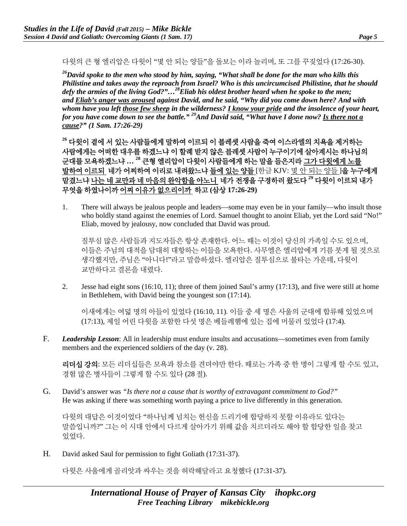다윗의 큰 형 엘리압은 다윗이 "몇 안 되는 양들"을 돌보는 이라 놀리며, 또 그를 꾸짖었다 (17:26-30).

*26David spoke to the men who stood by him, saying, "What shall be done for the man who kills this Philistine and takes away the reproach from Israel? Who is this uncircumcised Philistine, that he should defy the armies of the living God?"…28Eliab his oldest brother heard when he spoke to the men; and Eliab's anger was aroused against David, and he said, "Why did you come down here? And with whom have you left those few sheep in the wilderness? I know your pride and the insolence of your heart, for you have come down to see the battle." 29And David said, "What have I done now? Is there not a cause?" (1 Sam. 17:26-29)*

**<sup>26</sup>** 다윗이 곁에 서 있는 사람들에게 말하여 이르되 이 블레셋 사람을 죽여 이스라엘의 치욕을 제거하는 사람에게는 어떠한 대우를 하겠느냐 이 할례 받지 않은 블레셋 사람이 누구이기에 살아계시는 하나님의 군대를 모욕하겠느냐 **… <sup>28</sup>** 큰형 엘리압이 다윗이 사람들에게 하는 말을 들은지라 그가 다윗에게 노를 발하여 이르되 네가 어찌하여 이리로 내려왔느냐 들에 있는 양들 [한글 KJV: 몇 안 되는 양들 ]을 누구에게 맡겼느냐 나는 네 교만과 네 마음의 완악함을 아노니 네가 전쟁을 구경하러 왔도다 **<sup>29</sup>** 다윗이 이르되 내가 무엇을 하였나이까 어찌 이유가 없으리이까 하고 **(**삼상 **17:26-29)**

1. There will always be jealous people and leaders—some may even be in your family—who insult those who boldly stand against the enemies of Lord. Samuel thought to anoint Eliab, yet the Lord said "No!" Eliab, moved by jealousy, now concluded that David was proud.

질투심 많은 사람들과 지도자들은 항상 존재한다. 어느 때는 이것이 당신의 가족일 수도 있으며, 이들은 주님의 대적을 담대히 대항하는 이들을 모욕한다. 사무엘은 엘리압에게 기름 붓게 될 것으로 생각했지만, 주님은 "아니다!"라고 말씀하셨다. 엘리압은 질투심으로 불타는 가운데, 다윗이 교만하다고 결론을 내렸다.

2. Jesse had eight sons (16:10, 11); three of them joined Saul's army (17:13), and five were still at home in Bethlehem, with David being the youngest son (17:14).

이새에게는 여덟 명의 아들이 있었다 (16:10, 11). 이들 중 세 명은 사울의 군대에 합류해 있었으며 (17:13), 제일 어린 다윗을 포함한 다섯 명은 베들레헴에 있는 집에 머물러 있었다 (17:4).

F. *Leadership Lesson*: All in leadership must endure insults and accusations—sometimes even from family members and the experienced soldiers of the day (v. 28).

리더십 강의: 모든 리더십들은 모욕과 참소를 견뎌야만 한다. 때로는 가족 중 한 명이 그렇게 할 수도 있고, 경험 많은 병사들이 그렇게 할 수도 있다 (28 절).

G. David's answer was *"Is there not a cause that is worthy of extravagant commitment to God?"*  He was asking if there was something worth paying a price to live differently in this generation.

다윗의 대답은 이것이었다 "하나님께 넘치는 헌신을 드리기에 합당하지 못할 이유라도 있다는 말씀입니까?" 그는 이 시대 안에서 다르게 살아가기 위해 값을 치르더라도 해야 할 합당한 일을 찾고 있었다.

H. David asked Saul for permission to fight Goliath (17:31-37).

다윗은 사울에게 골리앗과 싸우는 것을 허락해달라고 요청했다 (17:31-37).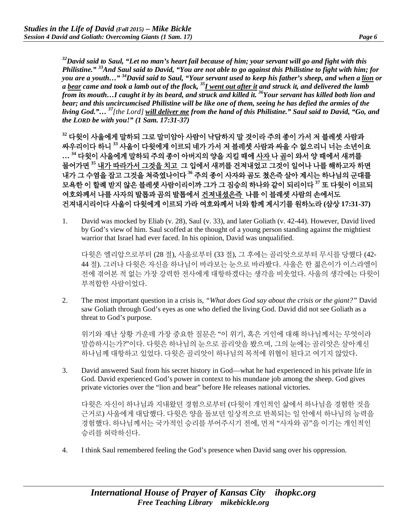*32David said to Saul, "Let no man's heart fail because of him; your servant will go and fight with this Philistine." 33And Saul said to David, "You are not able to go against this Philistine to fight with him; for you are a youth…" 34David said to Saul, "Your servant used to keep his father's sheep, and when a lion or a bear came and took a lamb out of the flock, 35I went out after it and struck it, and delivered the lamb from its mouth…I caught it by its beard, and struck and killed it. 36Your servant has killed both lion and bear; and this uncircumcised Philistine will be like one of them, seeing he has defied the armies of the living God."… <sup>37</sup>[the Lord] will deliver me from the hand of this Philistine." Saul said to David, "Go, and the LORD be with you!" (1 Sam. 17:31-37)*

**<sup>32</sup>** 다윗이 사울에게 말하되 그로 말미암아 사람이 낙담하지 말 것이라 주의 종이 가서 저 블레셋 사람과 싸우리이다 하니 **<sup>33</sup>** 사울이 다윗에게 이르되 네가 가서 저 블레셋 사람과 싸울 수 없으리니 너는 소년이요 **… <sup>34</sup>** 다윗이 사울에게 말하되 주의 종이 아버지의 양을 지킬 때에 사자 나 곰이 와서 양 때에서 새끼를 물어가면 **<sup>35</sup>** 내가 따라가서 그것을 치고 그 입에서 새끼를 건져내었고 그것이 일어나 나를 해하고자 하면 내가 그 수염을 잡고 그것을 쳐죽였나이다 **<sup>36</sup>** 주의 종이 사자와 곰도 쳤은즉 살아 계시는 하나님의 군대를 모욕한 이 할례 받지 않은 블레셋 사람이리이까 그가 그 짐승의 하나와 같이 되리이다 **<sup>37</sup>** 또 다윗이 이르되 여호와께서 나를 사자의 발톱과 곰의 발톱에서 건져내셨은즉 나를 이 블레셋 사람의 손에서도 건져내시리이다 사울이 다윗에게 이르되 가라 여호와께서 너와 함께 계시기를 원하노라 **(**삼상 **17:31-37)**

1. David was mocked by Eliab (v. 28), Saul (v. 33), and later Goliath (v. 42-44). However, David lived by God's view of him. Saul scoffed at the thought of a young person standing against the mightiest warrior that Israel had ever faced. In his opinion, David was unqualified.

다윗은 엘리압으로부터 (28 절), 사울로부터 (33 절), 그 후에는 골리앗으로부터 무시를 당했다 (42- 44 절). 그러나 다윗은 자신을 하나님이 바라보는 눈으로 바라봤다. 사울은 한 젊은이가 이스라엘이 전에 겪어본 적 없는 가장 강력한 전사에게 대항하겠다는 생각을 비웃었다. 사울의 생각에는 다윗이 부적합한 사람이었다.

2. The most important question in a crisis is, *"What does God say about the crisis or the giant?"* David saw Goliath through God's eyes as one who defied the living God. David did not see Goliath as a threat to God's purpose.

위기와 재난 상황 가운데 가장 중요한 질문은 "이 위기, 혹은 거인에 대해 하나님께서는 무엇이라 말씀하시는가?"이다. 다윗은 하나님의 눈으로 골리앗을 봤으며, 그의 눈에는 골리앗은 살아계신 하나님께 대항하고 있었다. 다윗은 골리앗이 하나님의 목적에 위협이 된다고 여기지 않았다.

3. David answered Saul from his secret history in God—what he had experienced in his private life in God. David experienced God's power in context to his mundane job among the sheep. God gives private victories over the "lion and bear" before He releases national victories.

다윗은 자신이 하나님과 지내왔던 경험으로부터 (다윗이 개인적인 삶에서 하나님을 경험한 것을 근거로) 사울에게 대답했다. 다윗은 양을 돌보던 일상적으로 반복되는 일 안에서 하나님의 능력을 경험했다. 하나님께서는 국가적인 승리를 부어주시기 전에, 먼저 "사자와 곰"을 이기는 개인적인 승리를 허락하신다.

4. I think Saul remembered feeling the God's presence when David sang over his oppression.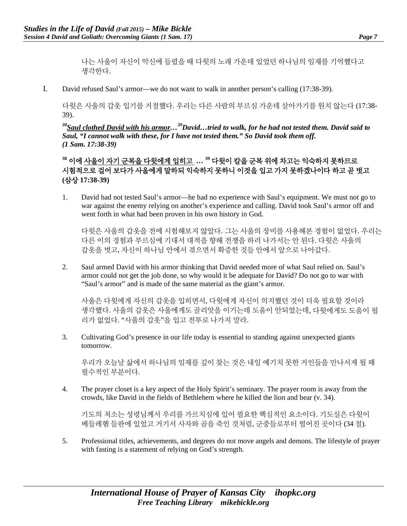나는 사울이 자신이 악신에 들렸을 때 다윗의 노래 가운데 있었던 하나님의 임재를 기억했다고 생각한다.

I. David refused Saul's armor—we do not want to walk in another person's calling (17:38-39).

다윗은 사울의 갑옷 입기를 거절했다. 우리는 다른 사람의 부르심 가운데 살아가기를 원치 않는다 (17:38- 39).

*38Saul clothed David with his armor…39David…tried to walk, for he had not tested them. David said to Saul, "I cannot walk with these, for I have not tested them." So David took them off. (1 Sam. 17:38-39)*

**<sup>38</sup>** 이에 사울이 자기 군복을 다윗에게 입히고 **… <sup>39</sup>** 다윗이 칼을 군복 위에 차고는 익숙하지 못하므로 시험적으로 걸어 보다가 사울에게 말하되 익숙하지 못하니 이것을 입고 가지 못하겠나이다 하고 곧 벗고 **(**삼상 **17:38-39)**

1. David had not tested Saul's armor—he had no experience with Saul's equipment. We must not go to war against the enemy relying on another's experience and calling. David took Saul's armor off and went forth in what had been proven in his own history in God.

다윗은 사울의 갑옷을 전에 시험해보지 않았다. 그는 사울의 장비를 사용해본 경험이 없었다. 우리는 다른 이의 경험과 부르심에 기대서 대적을 향해 전쟁을 하러 나가서는 안 된다. 다윗은 사울의 갑옷을 벗고, 자신이 하나님 안에서 겪으면서 확증한 것들 안에서 앞으로 나아갔다.

2. Saul armed David with his armor thinking that David needed more of what Saul relied on. Saul's armor could not get the job done, so why would it be adequate for David? Do not go to war with "Saul's armor" and is made of the same material as the giant's armor.

사울은 다윗에게 자신의 갑옷을 입히면서, 다윗에게 자신이 의지했던 것이 더욱 필요할 것이라 생각했다. 사울의 갑옷은 사울에게도 골리앗을 이기는데 도움이 안되었는데, 다윗에게도 도움이 될 리가 없었다. "사울의 갑옷"을 입고 전투로 나가지 말라.

3. Cultivating God's presence in our life today is essential to standing against unexpected giants tomorrow.

우리가 오늘날 삶에서 하나님의 임재를 깊이 찾는 것은 내일 예기치 못한 거인들을 만나서게 될 때 필수적인 부분이다.

4. The prayer closet is a key aspect of the Holy Spirit's seminary. The prayer room is away from the crowds, like David in the fields of Bethlehem where he killed the lion and bear (v. 34).

기도의 처소는 성령님께서 우리를 가르치심에 있어 필요한 핵심적인 요소이다. 기도실은 다윗이 베들레헴 들판에 있었고 거기서 사자와 곰을 죽인 것처럼, 군중들로부터 떨어진 곳이다 (34 절).

5. Professional titles, achievements, and degrees do not move angels and demons. The lifestyle of prayer with fasting is a statement of relying on God's strength.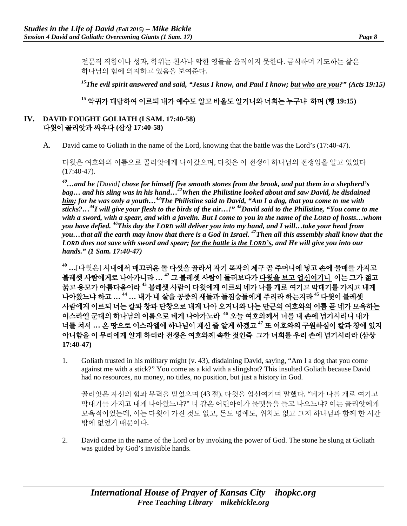전문직 직함이나 성과, 학위는 천사나 악한 영들을 움직이지 못한다. 금식하며 기도하는 삶은 하나님의 힘에 의지하고 있음을 보여준다.

*15The evil spirit answered and said, "Jesus I know, and Paul I know; but who are you?" (Acts 19:15)*

## **<sup>15</sup>** 악귀가 대답하여 이르되 내가 예수도 알고 바울도 알거니와 너희는 누구냐 하며 **(**행 **19:15)**

#### **IV. DAVID FOUGHT GOLIATH (I SAM. 17:40-58)** 다윗이 골리앗과 싸우다 **(**삼상 **17:40-58)**

A. David came to Goliath in the name of the Lord, knowing that the battle was the Lord's (17:40-47).

다윗은 여호와의 이름으로 골리앗에게 나아갔으며, 다윗은 이 전쟁이 하나님의 전쟁임을 알고 있었다  $(17:40-47)$ .

*40…and he [David] chose for himself five smooth stones from the brook, and put them in a shepherd's bag… and his sling was in his hand…42When the Philistine looked about and saw David, he disdained him; for he was only a youth…43The Philistine said to David, "Am I a dog, that you come to me with sticks?…44I will give your flesh to the birds of the air…!" 45David said to the Philistine, "You come to me with a sword, with a spear, and with a javelin. But I come to you in the name of the LORD of hosts…whom you have defied. 46This day the LORD will deliver you into my hand, and I will…take your head from you…that all the earth may know that there is a God in Israel. 47Then all this assembly shall know that the LORD does not save with sword and spear; for the battle is the LORD's, and He will give you into our hands." (1 Sam. 17:40-47)*

**<sup>40</sup> …**[다윗은] 시내에서 매끄러운 돌 다섯을 골라서 자기 목자의 제구 곧 주머니에 넣고 손에 물매를 가지고 블레셋 사람에게로 나아가니라 **… <sup>42</sup>** 그 블레셋 사람이 둘러보다가 다윗을 보고 업신여기니 이는 그가 젊고 붉고 용모가 아름다움이라 **<sup>43</sup>** 블레셋 사람이 다윗에게 이르되 네가 나를 개로 여기고 막대기를 가지고 내게 나아왔느냐 하고 **… <sup>44</sup> …** 내가 네 살을 공중의 새들과 들짐승들에게 주리라 하는지라 **<sup>45</sup>** 다윗이 블레셋 사람에게 이르되 너는 칼과 창과 단창으로 내게 나아 오거니와 나는 만군의 여호와의 이름 곧 네가 모욕하는 이스라엘 군대의 하나님의 이름으로 네게 나아가노라 **<sup>46</sup>** 오늘 여호와께서 너를 내 손에 넘기시리니 내가 너를 쳐서 **…** 온 땅으로 이스라엘에 하나님이 계신 줄 알게 하겠고 **<sup>47</sup>** 또 여호와의 구원하심이 칼과 창에 있지 아니함을 이 무리에게 알게 하리라 전쟁은 여호와께 속한 것인즉 그가 너희를 우리 손에 넘기시리라 **(**삼상 **17:40-47)**

1. Goliath trusted in his military might (v. 43), disdaining David, saying, "Am I a dog that you come against me with a stick?" You come as a kid with a slingshot? This insulted Goliath because David had no resources, no money, no titles, no position, but just a history in God.

골리앗은 자신의 힘과 무력을 믿었으며 (43 절), 다윗을 업신여기며 말했다, "네가 나를 개로 여기고 막대기를 가지고 내게 나아왔느냐?" 너 같은 어린아이가 물맷돌을 들고 나오느냐? 이는 골리앗에게 모욕적이었는데, 이는 다윗이 가진 것도 없고, 돈도 명예도, 위치도 없고 그저 하나님과 함께 한 시간 밖에 없었기 때문이다.

2. David came in the name of the Lord or by invoking the power of God. The stone he slung at Goliath was guided by God's invisible hands.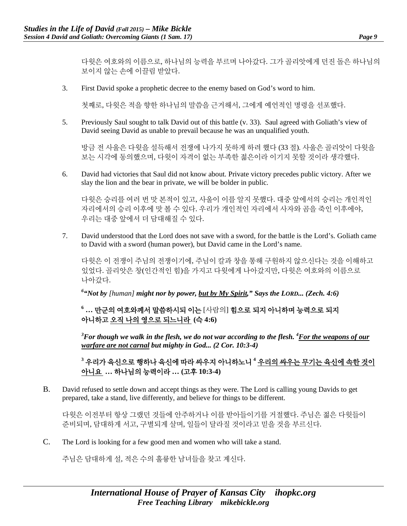다윗은 여호와의 이름으로, 하나님의 능력을 부르며 나아갔다. 그가 골리앗에게 던진 돌은 하나님의 보이지 않는 손에 이끌림 받았다.

3. First David spoke a prophetic decree to the enemy based on God's word to him.

첫째로, 다윗은 적을 향한 하나님의 말씀을 근거해서, 그에게 예언적인 명령을 선포했다.

5. Previously Saul sought to talk David out of this battle (v. 33). Saul agreed with Goliath's view of David seeing David as unable to prevail because he was an unqualified youth.

방금 전 사울은 다윗을 설득해서 전쟁에 나가지 못하게 하려 했다 (33 절). 사울은 골리앗이 다윗을 보는 시각에 동의했으며, 다윗이 자격이 없는 부족한 젊은이라 이기지 못할 것이라 생각했다.

6. David had victories that Saul did not know about. Private victory precedes public victory. After we slay the lion and the bear in private, we will be bolder in public.

다윗은 승리를 여러 번 맛 본적이 있고, 사울이 이를 알지 못했다. 대중 앞에서의 승리는 개인적인 자리에서의 승리 이후에 맛 볼 수 있다. 우리가 개인적인 자리에서 사자와 곰을 죽인 이후에야, 우리는 대중 앞에서 더 담대해질 수 있다.

7. David understood that the Lord does not save with a sword, for the battle is the Lord's. Goliath came to David with a sword (human power), but David came in the Lord's name.

다윗은 이 전쟁이 주님의 전쟁이기에, 주님이 칼과 창을 통해 구원하지 않으신다는 것을 이해하고 있었다. 골리앗은 창(인간적인 힘)을 가지고 다윗에게 나아갔지만, 다윗은 여호와의 이름으로 나아갔다.

<sup>6</sup>"Not by [human] **might nor by power, <u>but by My Spirit</u>,**" Says the LORD... (Zech. 4:6)

**<sup>6</sup> …** 만군의 여호와께서 말씀하시되 이는 [사람의] 힘으로 되지 아니하며 능력으로 되지 아니하고 오직 나의 영으로 되느니라 **(**슥 **4:6)**

 $^3$ For though we walk in the flesh, we do not war according to the flesh.  $^4$ <u>For the weapons of our</u> *warfare are not carnal but mighty in God... (2 Cor. 10:3-4)* 

**<sup>3</sup>** 우리가 육신으로 행하나 육신에 따라 싸우지 아니하노니 **<sup>4</sup>** 우리의 싸우는 무기는 육신에 속한 것이 아니요 **…** 하나님의 능력이라 **… (**고후 **10:3-4)**

B. David refused to settle down and accept things as they were. The Lord is calling young Davids to get prepared, take a stand, live differently, and believe for things to be different.

다윗은 이전부터 항상 그랬던 것들에 안주하거나 이를 받아들이기를 거절했다. 주님은 젊은 다윗들이 준비되며, 담대하게 서고, 구별되게 살며, 일들이 달라질 것이라고 믿을 것을 부르신다.

C. The Lord is looking for a few good men and women who will take a stand.

주님은 담대하게 설, 적은 수의 훌륭한 남녀들을 찾고 계신다.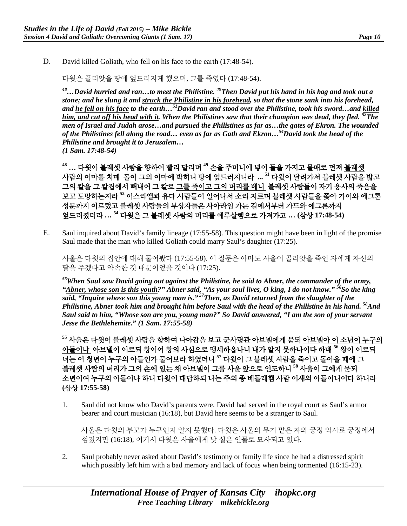D. David killed Goliath, who fell on his face to the earth (17:48-54).

다윗은 골리앗을 땅에 엎드러지게 했으며, 그를 죽였다 (17:48-54).

*48…David hurried and ran…to meet the Philistine. 49Then David put his hand in his bag and took out a stone; and he slung it and struck the Philistine in his forehead, so that the stone sank into his forehead, and he fell on his face to the earth…51David ran and stood over the Philistine, took his sword…and killed him, and cut off his head with it. When the Philistines saw that their champion was dead, they fled. 52The men of Israel and Judah arose…and pursued the Philistines as far as…the gates of Ekron. The wounded of the Philistines fell along the road… even as far as Gath and Ekron…54David took the head of the Philistine and brought it to Jerusalem… (1 Sam. 17:48-54)*

**<sup>48</sup> …** 다윗이 블레셋 사람을 향하여 빨리 달리며 **<sup>49</sup>** 손을 주머니에 넣어 돌을 가지고 물매로 던져 블레셋 사람의 이마를 치매 돌이 그의 이마에 박히니 땅에 엎드러지니라 **... 51** 다윗이 달려가서 블레셋 사람을 밟고 그의 칼을 그 칼집에서 빼내어 그 칼로 그를 죽이고 그의 머리를 베니 블레셋 사람들이 자기 용사의 죽음을 보고 도망하는지라 **<sup>52</sup>** 이스라엘과 유다 사람들이 일어나서 소리 지르며 블레셋 사람들을 쫓아 가이와 에그론 성문까지 이르렀고 블레셋 사람들의 부상자들은 사아라임 가는 길에서부터 가드와 에그론까지 엎드러졌더라 **… <sup>54</sup>** 다윗은 그 블레셋 사람의 머리를 예루살렘으로 가져가고 **… (**삼상 **17:48-54)**

E. Saul inquired about David's family lineage (17:55-58). This question might have been in light of the promise Saul made that the man who killed Goliath could marry Saul's daughter (17:25).

사울은 다윗의 집안에 대해 물어봤다 (17:55-58). 이 질문은 아마도 사울이 골리앗을 죽인 자에게 자신의 딸을 주겠다고 약속한 것 때문이었을 것이다 (17:25).

*55When Saul saw David going out against the Philistine, he said to Abner, the commander of the army, "Abner, whose son is this youth?" Abner said, "As your soul lives, O king, I do not know." 56So the king said, "Inquire whose son this young man is." 57Then, as David returned from the slaughter of the Philistine, Abner took him and brought him before Saul with the head of the Philistine in his hand. 58And Saul said to him, "Whose son are you, young man?" So David answered, "I am the son of your servant Jesse the Bethlehemite." (1 Sam. 17:55-58)*

**<sup>55</sup>** 사울은 다윗이 블레셋 사람을 향하여 나아감을 보고 군사령관 아브넬에게 묻되 아브넬아 이 소년이 누구의 아들이냐 아브넬이 이르되 왕이여 왕의 사심으로 맹세하옵나니 내가 알지 못하나이다 하매 **<sup>56</sup>** 왕이 이르되 너는 이 청년이 누구의 아들인가 물어보라 하였더니 **<sup>57</sup>** 다윗이 그 블레셋 사람을 죽이고 돌아올 때에 그 블레셋 사람의 머리가 그의 손에 있는 채 아브넬이 그를 사울 앞으로 인도하니 **<sup>58</sup>** 사울이 그에게 묻되 소년이여 누구의 아들이냐 하니 다윗이 대답하되 나는 주의 종 베들레헴 사람 이새의 아들이니이다 하니라 **(**삼상 **17:55-58)**

1. Saul did not know who David's parents were. David had served in the royal court as Saul's armor bearer and court musician (16:18), but David here seems to be a stranger to Saul.

사울은 다윗의 부모가 누구인지 알지 못했다. 다윗은 사울의 무기 맡은 자와 궁정 악사로 궁정에서 섬겼지만 (16:18), 여기서 다윗은 사울에게 낯 설은 인물로 묘사되고 있다.

2. Saul probably never asked about David's testimony or family life since he had a distressed spirit which possibly left him with a bad memory and lack of focus when being tormented (16:15-23).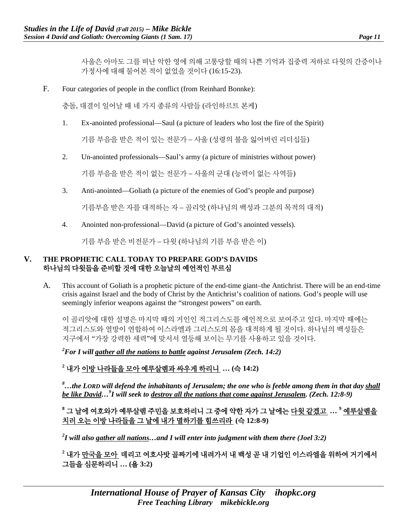사울은 아마도 그를 떠난 악한 영에 의해 고통당할 때의 나쁜 기억과 집중력 저하로 다윗의 간증이나 가정사에 대해 물어본 적이 없었을 것이다 (16:15-23).

F. Four categories of people in the conflict (from Reinhard Bonnke):

충돌, 대결이 일어날 때 네 가지 종류의 사람들 (라인하르트 본케)

1. Ex-anointed professional—Saul (a picture of leaders who lost the fire of the Spirit)

기름 부음을 받은 적이 있는 전문가 – 사울 (성령의 불을 잃어버린 리더십들)

2. Un-anointed professionals—Saul's army (a picture of ministries without power)

기름 부음을 받은 적이 없는 전문가 – 사울의 군대 (능력이 없는 사역들)

3. Anti-anointed—Goliath (a picture of the enemies of God's people and purpose)

기름부음 받은 자를 대적하는 자 – 골리앗 (하나님의 백성과 그분의 목적의 대적)

4. Anointed non-professional—David (a picture of God's anointed vessels).

기름 부음 받은 비전문가 – 다윗 (하나님의 기름 부음 받은 이)

### **V. THE PROPHETIC CALL TODAY TO PREPARE GOD'S DAVIDS**  하나님의 다윗들을 준비할 것에 대한 오늘날의 예언적인 부르심

A. This account of Goliath is a prophetic picture of the end-time giant–the Antichrist. There will be an end-time crisis against Israel and the body of Christ by the Antichrist's coalition of nations. God's people will use seemingly inferior weapons against the "strongest powers" on earth.

이 골리앗에 대한 설명은 마지막 때의 거인인 적그리스도를 예언적으로 보여주고 있다. 마지막 때에는 적그리스도와 열방이 연합하여 이스라엘과 그리스도의 몸을 대적하게 될 것이다. 하나님의 백성들은 지구에서 "가장 강력한 세력"에 맞서서 열등해 보이는 무기를 사용하고 있을 것이다.

*2 For I will gather all the nations to battle against Jerusalem (Zech. 14:2)* 

**<sup>2</sup>** 내가 이방 나라들을 모아 예루살렘과 싸우게 하리니 **… (**슥 **14:2)**

*8 …the LORD will defend the inhabitants of Jerusalem; the one who is feeble among them in that day shall be like David…9 I will seek to destroy all the nations that come against Jerusalem. (Zech. 12:8-9)* 

# **<sup>8</sup>** 그 날에 여호와가 예루살렘 주민을 보호하리니 그 중에 약한 자가 그 날에는 다윗 같겠고 **… <sup>9</sup>** 예루살렘을 치러 오는 이방 나라들을 그 날에 내가 멸하기를 힘쓰리라 **(**슥 **12:8-9)**

*2 I will also gather all nations…and I will enter into judgment with them there (Joel 3:2)* 

**<sup>2</sup>** 내가 만국을 모아 데리고 여호사밧 골짜기에 내려가서 내 백성 곧 내 기업인 이스라엘을 위하여 거기에서 그들을 심문하리니 **… (**욜 **3:2)**